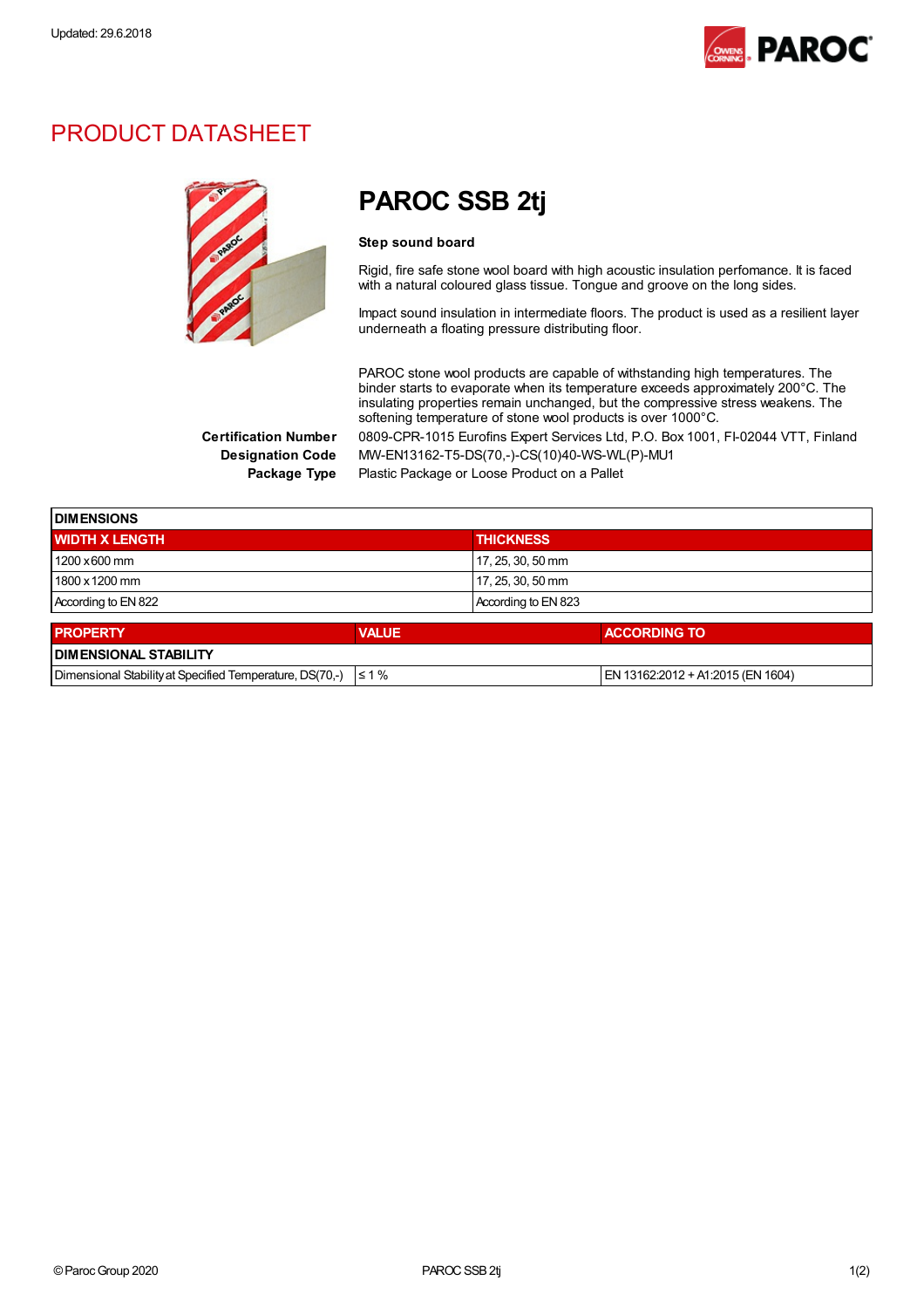

# PRODUCT DATASHEET



# PAROC SSB 2tj

#### Step sound board

Rigid, fire safe stone wool board with high acoustic insulation perfomance. It is faced with a natural coloured glass tissue. Tongue and groove on the long sides.

Impact sound insulation in intermediate floors. The product is used as a resilient layer underneath a floating pressure distributing floor.

PAROC stone wool products are capable of withstanding high temperatures. The binder starts to evaporate when its temperature exceeds approximately 200°C. The insulating properties remain unchanged, but the compressive stress weakens. The softening temperature of stone wool products is over 1000°C. Certification Number 0809-CPR-1015 Eurofins Expert Services Ltd, P.O. Box 1001, FI-02044 VTT, Finland

Designation Code MW-EN13162-T5-DS(70,-)-CS(10)40-WS-WL(P)-MU1 Package Type Plastic Package or Loose Product on a Pallet

**DIMENSIONS** WIDTH X LENGTH THICKNESS AND THICKNESS 1200 x600 mm 1200 x600 mm 17, 25, 30, 50 mm 1800 x 1200 mm 1800 x 1200 mm 1800 x 1200 mm According to EN 822 According to EN 823

| <b>PROPERTY</b>                                                     | <b>VALUE</b> | <b>ACCORDING TO</b>                  |  |
|---------------------------------------------------------------------|--------------|--------------------------------------|--|
| <b>I DIMENSIONAL STABILITY</b>                                      |              |                                      |  |
| Dimensional Stability at Specified Temperature, DS(70,-) $\leq 1\%$ |              | $ EN 13162:2012 + A1:2015$ (EN 1604) |  |